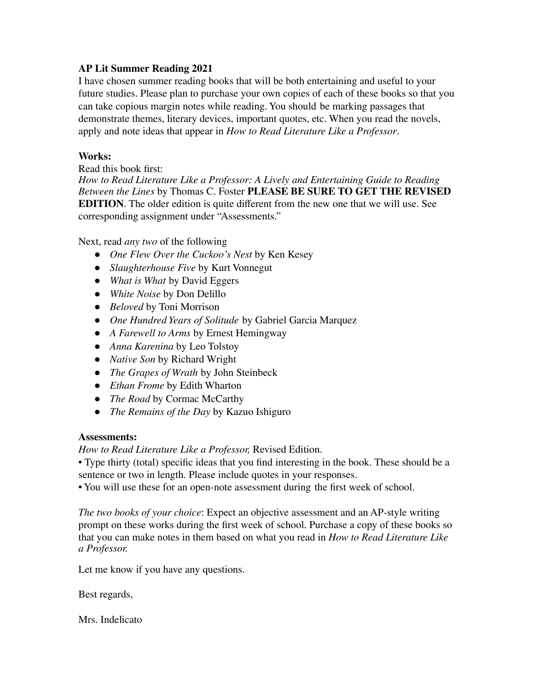## **AP Lit Summer Reading 2021**

I have chosen summer reading books that will be both entertaining and useful to your future studies. Please plan to purchase your own copies of each of these books so that you can take copious margin notes while reading. You should be marking passages that demonstrate themes, literary devices, important quotes, etc. When you read the novels, apply and note ideas that appear in *How to Read Literature Like a Professor*.

## **Works:**

Read this book first:

*How to Read Literature Like a Professor: A Lively and Entertaining Guide to Reading Between the Lines* by Thomas C. Foster **PLEASE BE SURE TO GET THE REVISED EDITION**. The older edition is quite different from the new one that we will use. See corresponding assignment under "Assessments."

Next, read *any two* of the following

- *One Flew Over the Cuckoo's Nest* by Ken Kesey
- *Slaughterhouse Five* by Kurt Vonnegut
- *What is What* by David Eggers
- *White Noise* by Don Delillo
- *Beloved* by Toni Morrison
- *One Hundred Years of Solitude* by Gabriel Garcia Marquez
- *A Farewell to Arms* by Ernest Hemingway
- *Anna Karenina* by Leo Tolstoy
- *Native Son* by Richard Wright
- *The Grapes of Wrath* by John Steinbeck
- *Ethan Frome* by Edith Wharton
- *The Road* by Cormac McCarthy
- *The Remains of the Day* by Kazuo Ishiguro

## **Assessments:**

*How to Read Literature Like a Professor,* Revised Edition.

• Type thirty (total) specific ideas that you find interesting in the book. These should be a sentence or two in length. Please include quotes in your responses.

• You will use these for an open-note assessment during the first week of school.

*The two books of your choice*: Expect an objective assessment and an AP-style writing prompt on these works during the first week of school. Purchase a copy of these books so that you can make notes in them based on what you read in *How to Read Literature Like a Professor.*

Let me know if you have any questions.

Best regards,

Mrs. Indelicato